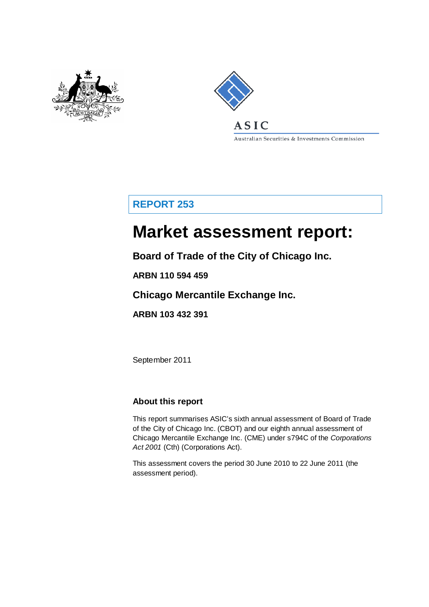



Australian Securities & Investments Commission

## **REPORT 253**

# **Market assessment report:**

**Board of Trade of the City of Chicago Inc.**

**ARBN 110 594 459**

**Chicago Mercantile Exchange Inc.**

**ARBN 103 432 391**

September 2011

## **About this report**

This report summarises ASIC's sixth annual assessment of Board of Trade of the City of Chicago Inc. (CBOT) and our eighth annual assessment of Chicago Mercantile Exchange Inc. (CME) under s794C of the *Corporations Act 2001* (Cth) (Corporations Act).

This assessment covers the period 30 June 2010 to 22 June 2011 (the assessment period).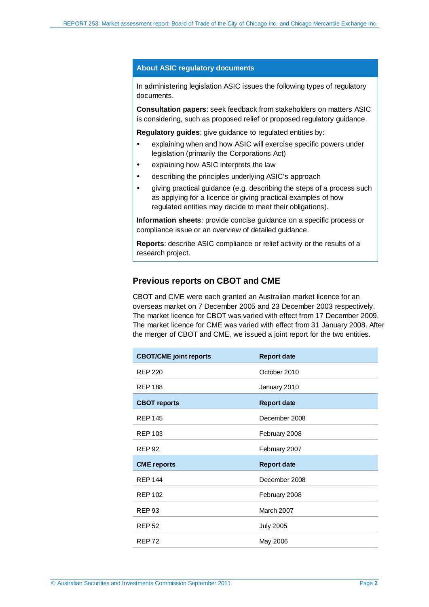#### **About ASIC regulatory documents**

In administering legislation ASIC issues the following types of regulatory documents.

**Consultation papers**: seek feedback from stakeholders on matters ASIC is considering, such as proposed relief or proposed regulatory guidance.

**Regulatory guides**: give guidance to regulated entities by:

- explaining when and how ASIC will exercise specific powers under legislation (primarily the Corporations Act)
- explaining how ASIC interprets the law
- describing the principles underlying ASIC's approach
- giving practical guidance (e.g. describing the steps of a process such as applying for a licence or giving practical examples of how regulated entities may decide to meet their obligations).

**Information sheets**: provide concise guidance on a specific process or compliance issue or an overview of detailed guidance.

**Reports**: describe ASIC compliance or relief activity or the results of a research project.

#### **Previous reports on CBOT and CME**

CBOT and CME were each granted an Australian market licence for an overseas market on 7 December 2005 and 23 December 2003 respectively. The market licence for CBOT was varied with effect from 17 December 2009. The market licence for CME was varied with effect from 31 January 2008. After the merger of CBOT and CME, we issued a joint report for the two entities.

| <b>CBOT/CME</b> joint reports | <b>Report date</b> |
|-------------------------------|--------------------|
| <b>REP 220</b>                | October 2010       |
| <b>REP 188</b>                | January 2010       |
| <b>CBOT reports</b>           | <b>Report date</b> |
| <b>REP 145</b>                | December 2008      |
| <b>REP 103</b>                | February 2008      |
| <b>REP 92</b>                 | February 2007      |
| <b>CME</b> reports            | <b>Report date</b> |
| <b>REP 144</b>                | December 2008      |
| <b>REP 102</b>                | February 2008      |
| <b>REP 93</b>                 | March 2007         |
| <b>REP 52</b>                 | <b>July 2005</b>   |
| <b>REP72</b>                  | May 2006           |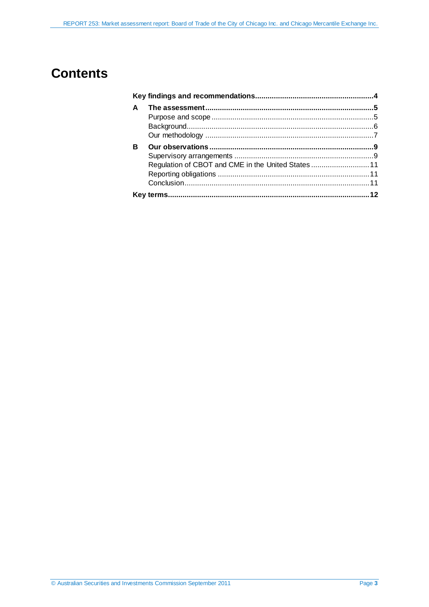## **Contents**

| A |                                                   |  |
|---|---------------------------------------------------|--|
|   |                                                   |  |
|   |                                                   |  |
|   |                                                   |  |
| R |                                                   |  |
|   |                                                   |  |
|   | Regulation of CBOT and CME in the United States11 |  |
|   |                                                   |  |
|   |                                                   |  |
|   |                                                   |  |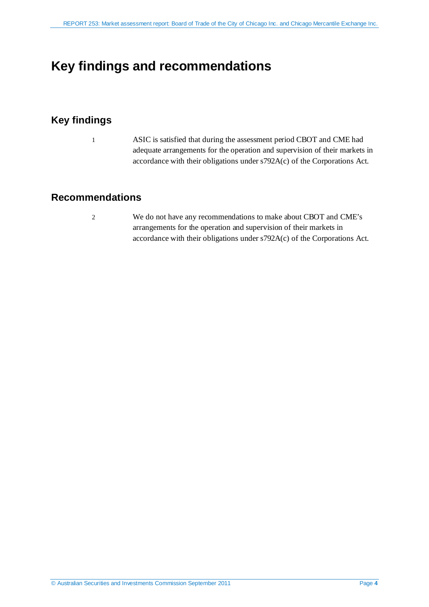## <span id="page-3-0"></span>**Key findings and recommendations**

## **Key findings**

1 ASIC is satisfied that during the assessment period CBOT and CME had adequate arrangements for the operation and supervision of their markets in accordance with their obligations under s792A(c) of the Corporations Act.

### **Recommendations**

2 We do not have any recommendations to make about CBOT and CME's arrangements for the operation and supervision of their markets in accordance with their obligations under s792A(c) of the Corporations Act.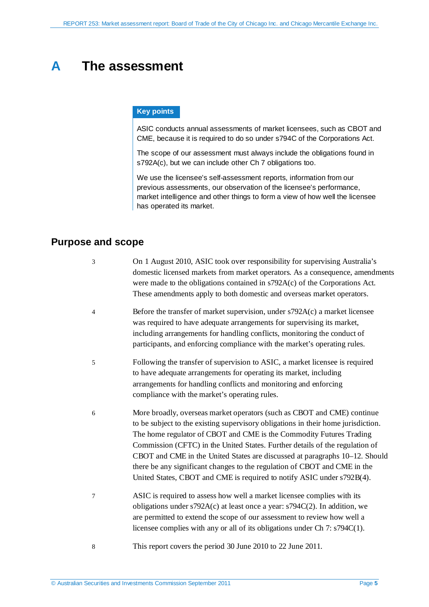## <span id="page-4-0"></span>**A The assessment**

#### **Key points**

ASIC conducts annual assessments of market licensees, such as CBOT and CME, because it is required to do so under s794C of the Corporations Act.

The scope of our assessment must always include the obligations found in s792A(c), but we can include other Ch 7 obligations too.

We use the licensee's self-assessment reports, information from our previous assessments, our observation of the licensee's performance, market intelligence and other things to form a view of how well the licensee has operated its market.

### <span id="page-4-1"></span>**Purpose and scope**

| 3 | On 1 August 2010, ASIC took over responsibility for supervising Australia's<br>domestic licensed markets from market operators. As a consequence, amendments<br>were made to the obligations contained in s792A(c) of the Corporations Act.<br>These amendments apply to both domestic and overseas market operators.                                                                                                                                                                                                                                     |
|---|-----------------------------------------------------------------------------------------------------------------------------------------------------------------------------------------------------------------------------------------------------------------------------------------------------------------------------------------------------------------------------------------------------------------------------------------------------------------------------------------------------------------------------------------------------------|
| 4 | Before the transfer of market supervision, under s792A(c) a market licensee<br>was required to have adequate arrangements for supervising its market,<br>including arrangements for handling conflicts, monitoring the conduct of<br>participants, and enforcing compliance with the market's operating rules.                                                                                                                                                                                                                                            |
| 5 | Following the transfer of supervision to ASIC, a market licensee is required<br>to have adequate arrangements for operating its market, including<br>arrangements for handling conflicts and monitoring and enforcing<br>compliance with the market's operating rules.                                                                                                                                                                                                                                                                                    |
| 6 | More broadly, overseas market operators (such as CBOT and CME) continue<br>to be subject to the existing supervisory obligations in their home jurisdiction.<br>The home regulator of CBOT and CME is the Commodity Futures Trading<br>Commission (CFTC) in the United States. Further details of the regulation of<br>CBOT and CME in the United States are discussed at paragraphs 10–12. Should<br>there be any significant changes to the regulation of CBOT and CME in the<br>United States, CBOT and CME is required to notify ASIC under s792B(4). |
| 7 | ASIC is required to assess how well a market licensee complies with its<br>obligations under s792A(c) at least once a year: s794C(2). In addition, we<br>are permitted to extend the scope of our assessment to review how well a<br>licensee complies with any or all of its obligations under Ch 7: s794C(1).                                                                                                                                                                                                                                           |
|   | $\mathbf{1}$ $\mathbf{1}$ $\mathbf{2}$ $\mathbf{3}$ $\mathbf{4}$ $\mathbf{5}$ $\mathbf{5}$ $\mathbf{6}$ $\mathbf{5}$ $\mathbf{6}$ $\mathbf{6}$ $\mathbf{5}$ $\mathbf{6}$ $\mathbf{6}$ $\mathbf{6}$ $\mathbf{6}$ $\mathbf{6}$ $\mathbf{6}$ $\mathbf{7}$ $\mathbf{8}$ $\mathbf{6}$ $\mathbf{8}$ $\mathbf{6}$ $\mathbf{8}$ $\mathbf{$                                                                                                                                                                                                                        |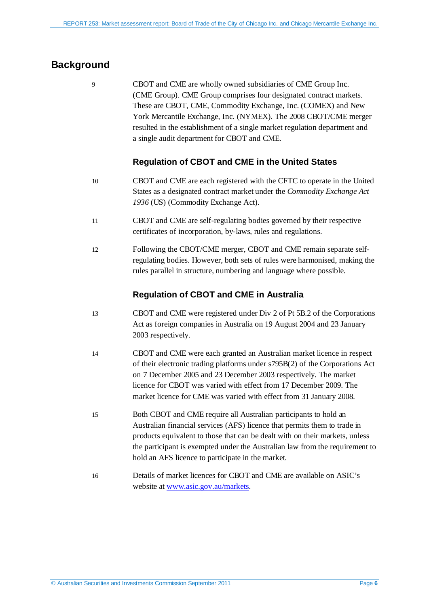## <span id="page-5-0"></span>**Background**

9 CBOT and CME are wholly owned subsidiaries of CME Group Inc. (CME Group). CME Group comprises four designated contract markets. These are CBOT, CME, Commodity Exchange, Inc. (COMEX) and New York Mercantile Exchange, Inc. (NYMEX). The 2008 CBOT/CME merger resulted in the establishment of a single market regulation department and a single audit department for CBOT and CME.

#### **Regulation of CBOT and CME in the United States**

- <span id="page-5-1"></span>10 CBOT and CME are each registered with the CFTC to operate in the United States as a designated contract market under the *Commodity Exchange Act 1936* (US) (Commodity Exchange Act).
- 11 CBOT and CME are self-regulating bodies governed by their respective certificates of incorporation, by-laws, rules and regulations.
- <span id="page-5-2"></span>12 Following the CBOT/CME merger, CBOT and CME remain separate selfregulating bodies. However, both sets of rules were harmonised, making the rules parallel in structure, numbering and language where possible.

#### **Regulation of CBOT and CME in Australia**

- 13 CBOT and CME were registered under Div 2 of Pt 5B.2 of the Corporations Act as foreign companies in Australia on 19 August 2004 and 23 January 2003 respectively.
- 14 CBOT and CME were each granted an Australian market licence in respect of their electronic trading platforms under s795B(2) of the Corporations Act on 7 December 2005 and 23 December 2003 respectively. The market licence for CBOT was varied with effect from 17 December 2009. The market licence for CME was varied with effect from 31 January 2008.
- 15 Both CBOT and CME require all Australian participants to hold an Australian financial services (AFS) licence that permits them to trade in products equivalent to those that can be dealt with on their markets, unless the participant is exempted under the Australian law from the requirement to hold an AFS licence to participate in the market.
- 16 Details of market licences for CBOT and CME are available on ASIC's website at [www.asic.gov.au/markets.](http://www.asic.gov.au/markets)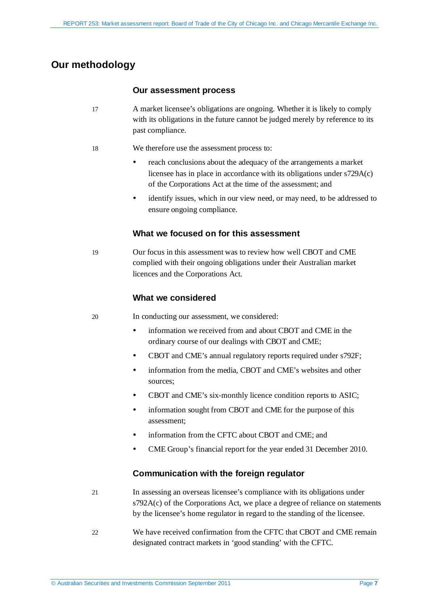## <span id="page-6-0"></span>**Our methodology**

#### **Our assessment process**

- 17 A market licensee's obligations are ongoing. Whether it is likely to comply with its obligations in the future cannot be judged merely by reference to its past compliance.
- 18 We therefore use the assessment process to:
	- reach conclusions about the adequacy of the arrangements a market licensee has in place in accordance with its obligations under s729A(c) of the Corporations Act at the time of the assessment; and
	- identify issues, which in our view need, or may need, to be addressed to ensure ongoing compliance.

#### **What we focused on for this assessment**

19 Our focus in this assessment was to review how well CBOT and CME complied with their ongoing obligations under their Australian market licences and the Corporations Act.

#### **What we considered**

20 In conducting our assessment, we considered:

- information we received from and about CBOT and CME in the ordinary course of our dealings with CBOT and CME;
- CBOT and CME's annual regulatory reports required under s792F;
- information from the media, CBOT and CME's websites and other sources;
- CBOT and CME's six-monthly licence condition reports to ASIC;
- information sought from CBOT and CME for the purpose of this assessment;
- information from the CFTC about CBOT and CME; and
- CME Group's financial report for the year ended 31 December 2010.

#### **Communication with the foreign regulator**

- 21 In assessing an overseas licensee's compliance with its obligations under s792A(c) of the Corporations Act, we place a degree of reliance on statements by the licensee's home regulator in regard to the standing of the licensee.
- 22 We have received confirmation from the CFTC that CBOT and CME remain designated contract markets in 'good standing' with the CFTC.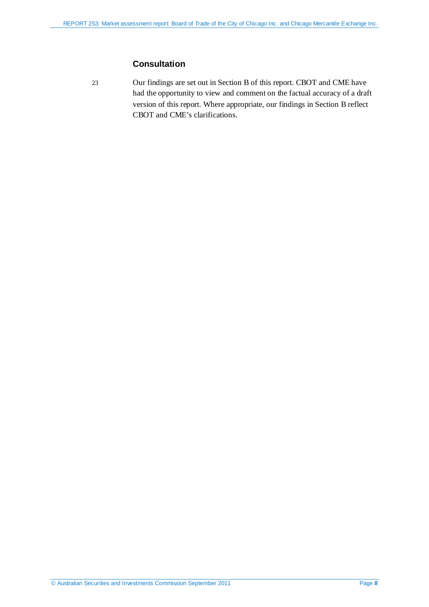#### **Consultation**

23 Our findings are set out in Section [B](#page-8-0) of this report. CBOT and CME have had the opportunity to view and comment on the factual accuracy of a draft version of this report. Where appropriate, our findings in Sectio[n B](#page-8-0) reflect CBOT and CME's clarifications.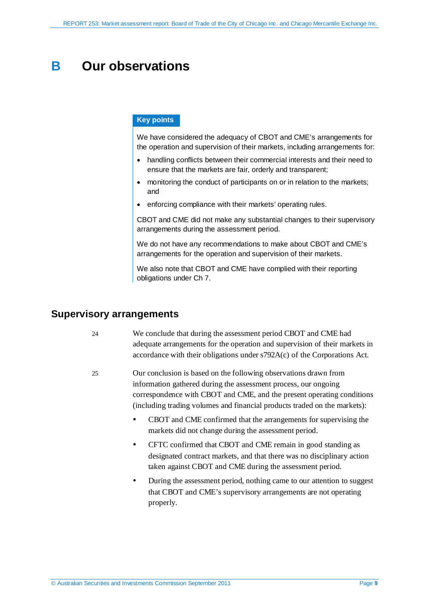## <span id="page-8-0"></span>**B Our observations**

#### **Key points**

We have considered the adequacy of CBOT and CME's arrangements for the operation and supervision of their markets, including arrangements for:

- handling conflicts between their commercial interests and their need to ensure that the markets are fair, orderly and transparent;
- monitoring the conduct of participants on or in relation to the markets; and
- enforcing compliance with their markets' operating rules.

CBOT and CME did not make any substantial changes to their supervisory arrangements during the assessment period.

We do not have any recommendations to make about CBOT and CME's arrangements for the operation and supervision of their markets.

We also note that CBOT and CME have complied with their reporting obligations under Ch 7.

#### <span id="page-8-1"></span>**Supervisory arrangements**

- 24 We conclude that during the assessment period CBOT and CME had adequate arrangements for the operation and supervision of their markets in accordance with their obligations under s792A(c) of the Corporations Act.
- 25 Our conclusion is based on the following observations drawn from information gathered during the assessment process, our ongoing correspondence with CBOT and CME, and the present operating conditions (including trading volumes and financial products traded on the markets):
	- CBOT and CME confirmed that the arrangements for supervising the markets did not change during the assessment period.
	- CFTC confirmed that CBOT and CME remain in good standing as designated contract markets, and that there was no disciplinary action taken against CBOT and CME during the assessment period.
	- During the assessment period, nothing came to our attention to suggest that CBOT and CME's supervisory arrangements are not operating properly.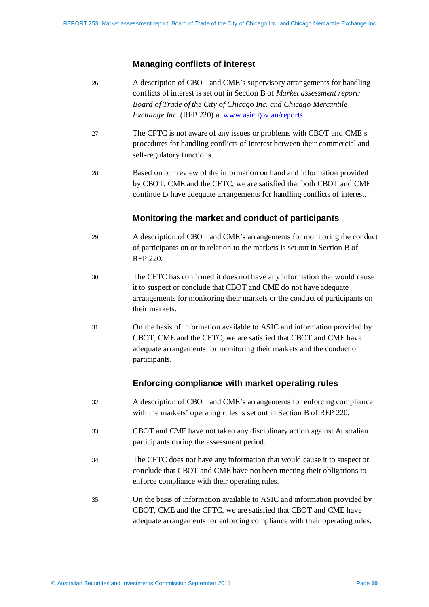#### **Managing conflicts of interest**

- 26 A description of CBOT and CME's supervisory arrangements for handling conflicts of interest is set out in Section B of *Market assessment report: Board of Trade of the City of Chicago Inc. and Chicago Mercantile Exchange Inc.* (REP 220) at [www.asic.gov.au/reports.](http://www.asic.gov.au/reports)
- 27 The CFTC is not aware of any issues or problems with CBOT and CME's procedures for handling conflicts of interest between their commercial and self-regulatory functions.
- 28 Based on our review of the information on hand and information provided by CBOT, CME and the CFTC, we are satisfied that both CBOT and CME continue to have adequate arrangements for handling conflicts of interest.

#### **Monitoring the market and conduct of participants**

- 29 A description of CBOT and CME's arrangements for monitoring the conduct of participants on or in relation to the markets is set out in Section B of REP 220.
- 30 The CFTC has confirmed it does not have any information that would cause it to suspect or conclude that CBOT and CME do not have adequate arrangements for monitoring their markets or the conduct of participants on their markets.
- 31 On the basis of information available to ASIC and information provided by CBOT, CME and the CFTC, we are satisfied that CBOT and CME have adequate arrangements for monitoring their markets and the conduct of participants.

#### **Enforcing compliance with market operating rules**

- 32 A description of CBOT and CME's arrangements for enforcing compliance with the markets' operating rules is set out in Section B of REP 220.
- 33 CBOT and CME have not taken any disciplinary action against Australian participants during the assessment period.
- 34 The CFTC does not have any information that would cause it to suspect or conclude that CBOT and CME have not been meeting their obligations to enforce compliance with their operating rules.
- 35 On the basis of information available to ASIC and information provided by CBOT, CME and the CFTC, we are satisfied that CBOT and CME have adequate arrangements for enforcing compliance with their operating rules.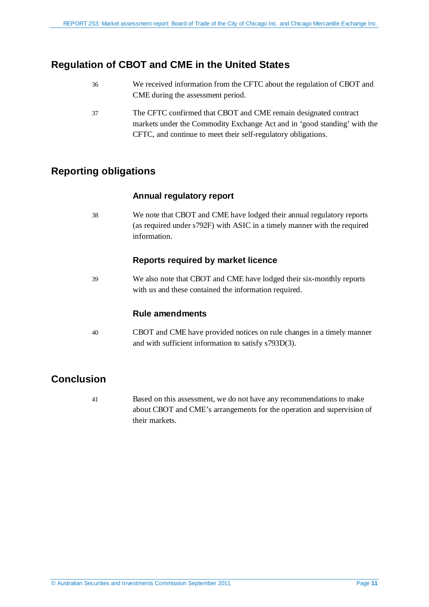## <span id="page-10-0"></span>**Regulation of CBOT and CME in the United States**

- 36 We received information from the CFTC about the regulation of CBOT and CME during the assessment period.
- 37 The CFTC confirmed that CBOT and CME remain designated contract markets under the Commodity Exchange Act and in 'good standing' with the CFTC, and continue to meet their self-regulatory obligations.

### <span id="page-10-1"></span>**Reporting obligations**

#### **Annual regulatory report**

38 We note that CBOT and CME have lodged their annual regulatory reports (as required under s792F) with ASIC in a timely manner with the required information.

#### **Reports required by market licence**

39 We also note that CBOT and CME have lodged their six-monthly reports with us and these contained the information required.

#### **Rule amendments**

40 CBOT and CME have provided notices on rule changes in a timely manner and with sufficient information to satisfy s793D(3).

## <span id="page-10-2"></span>**Conclusion**

41 Based on this assessment, we do not have any recommendations to make about CBOT and CME's arrangements for the operation and supervision of their markets.